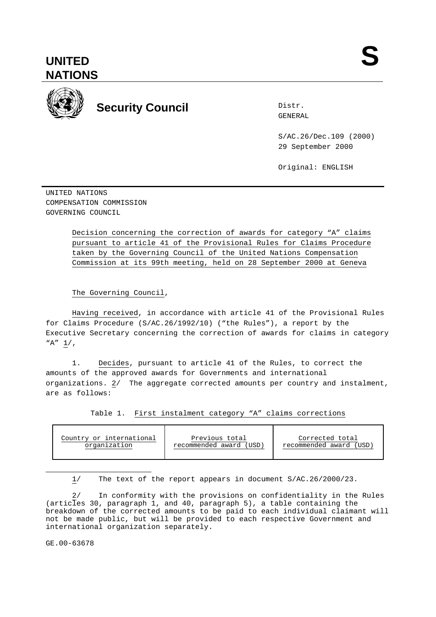

# **Security Council Security Council**

Distr.

S/AC.26/Dec.109 (2000) 29 September 2000

Original: ENGLISH

UNITED NATIONS COMPENSATION COMMISSION GOVERNING COUNCIL

> Decision concerning the correction of awards for category "A" claims pursuant to article 41 of the Provisional Rules for Claims Procedure taken by the Governing Council of the United Nations Compensation Commission at its 99th meeting, held on 28 September 2000 at Geneva

The Governing Council,

Having received, in accordance with article 41 of the Provisional Rules for Claims Procedure (S/AC.26/1992/10) ("the Rules"), a report by the Executive Secretary concerning the correction of awards for claims in category "A" 1/,

1. Decides, pursuant to article 41 of the Rules, to correct the amounts of the approved awards for Governments and international organizations. 2/ The aggregate corrected amounts per country and instalment, are as follows:

Table 1. First instalment category "A" claims corrections

| Country or international | Previous total          | Corrected total         |
|--------------------------|-------------------------|-------------------------|
| organization             | recommended award (USD) | recommended award (USD) |

1/ The text of the report appears in document S/AC.26/2000/23.

2/ In conformity with the provisions on confidentiality in the Rules (articles 30, paragraph 1, and 40, paragraph 5), a table containing the breakdown of the corrected amounts to be paid to each individual claimant will not be made public, but will be provided to each respective Government and international organization separately.

GE.00-63678

÷,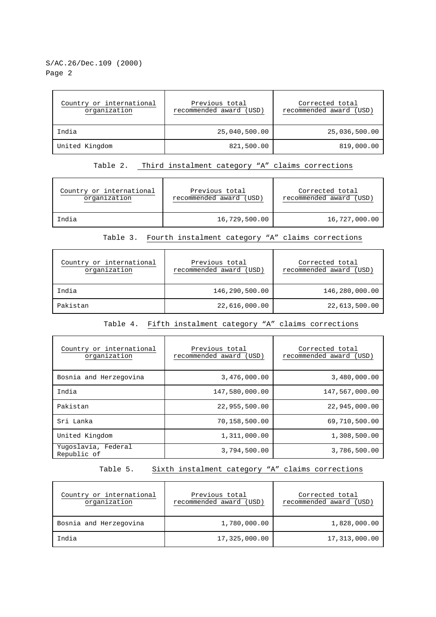# S/AC.26/Dec.109 (2000) Page 2

| Country or international<br>organization | Previous total<br>recommended award (USD) | Corrected total<br>recommended award (USD) |  |  |
|------------------------------------------|-------------------------------------------|--------------------------------------------|--|--|
| India                                    | 25,040,500.00                             | 25,036,500.00                              |  |  |
| United Kingdom                           | 821,500.00                                | 819,000.00                                 |  |  |

# Table 2. Third instalment category "A" claims corrections

| Country or international | Previous total          | Corrected total         |
|--------------------------|-------------------------|-------------------------|
| organization             | recommended award (USD) | recommended award (USD) |
| India                    | 16,729,500.00           | 16,727,000.00           |

### Table 3. Fourth instalment category "A" claims corrections

| Country or international<br>organization | Previous total<br>recommended award (USD) | Corrected total<br>recommended award (USD) |  |  |
|------------------------------------------|-------------------------------------------|--------------------------------------------|--|--|
| India                                    | 146,290,500.00                            | 146,280,000.00                             |  |  |
| Pakistan                                 | 22,616,000.00                             | 22,613,500.00                              |  |  |

#### Table 4. Fifth instalment category "A" claims corrections

| Country or international<br>organization | Previous total<br>recommended award (USD) | Corrected total<br>recommended award (USD) |  |
|------------------------------------------|-------------------------------------------|--------------------------------------------|--|
| Bosnia and Herzegovina                   | 3,476,000.00                              | 3,480,000.00                               |  |
| India                                    | 147,580,000.00                            | 147,567,000.00                             |  |
| Pakistan                                 | 22,955,500.00                             | 22,945,000.00                              |  |
| Sri Lanka                                | 70,158,500.00                             | 69,710,500.00                              |  |
| United Kingdom                           | 1,311,000.00                              | 1,308,500.00                               |  |
| Yuqoslavia, Federal<br>Republic of       | 3,794,500.00                              | 3,786,500.00                               |  |

# Table 5. Sixth instalment category "A" claims corrections

| Country or international<br>organization | Previous total<br>recommended award (USD) | Corrected total<br>recommended award (USD) |  |  |
|------------------------------------------|-------------------------------------------|--------------------------------------------|--|--|
| Bosnia and Herzegovina                   | 1,780,000.00                              | 1,828,000.00                               |  |  |
| India                                    | 17,325,000.00                             | 17,313,000.00                              |  |  |